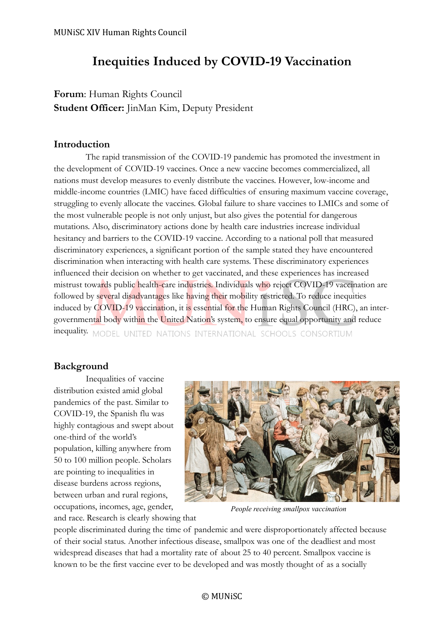# **Inequities Induced by COVID-19 Vaccination**

**Forum**: Human Rights Council **Student Officer:** JinMan Kim, Deputy President

# **Introduction**

The rapid transmission of the COVID-19 pandemic has promoted the investment in the development of COVID-19 vaccines. Once a new vaccine becomes commercialized, all nations must develop measures to evenly distribute the vaccines. However, low-income and middle-income countries (LMIC) have faced difficulties of ensuring maximum vaccine coverage, struggling to evenly allocate the vaccines. Global failure to share vaccines to LMICs and some of the most vulnerable people is not only unjust, but also gives the potential for dangerous mutations. Also, discriminatory actions done by health care industries increase individual hesitancy and barriers to the COVID-19 vaccine. According to a national poll that measured discriminatory experiences, a significant portion of the sample stated they have encountered discrimination when interacting with health care systems. These discriminatory experiences influenced their decision on whether to get vaccinated, and these experiences has increased mistrust towards public health-care industries. Individuals who reject COVID-19 vaccination are followed by several disadvantages like having their mobility restricted. To reduce inequities induced by COVID-19 vaccination, it is essential for the Human Rights Council (HRC), an intergovernmental body within the United Nation's system, to ensure equal opportunity and reduce inequality. MODEL UNITED NATIONS INTERNATIONAL SCHOOLS CONSORTIUM

# **Background**

Inequalities of vaccine distribution existed amid global pandemics of the past. Similar to COVID-19, the Spanish flu was highly contagious and swept about one-third of the world's population, killing anywhere from 50 to 100 million people. Scholars are pointing to inequalities in disease burdens across regions, between urban and rural regions, occupations, incomes, age, gender,



*People receiving smallpox vaccination*

and race. Research is clearly showing that

people discriminated during the time of pandemic and were disproportionately affected because of their social status. Another infectious disease, smallpox was one of the deadliest and most widespread diseases that had a mortality rate of about 25 to 40 percent. Smallpox vaccine is known to be the first vaccine ever to be developed and was mostly thought of as a socially

#### © MUNiSC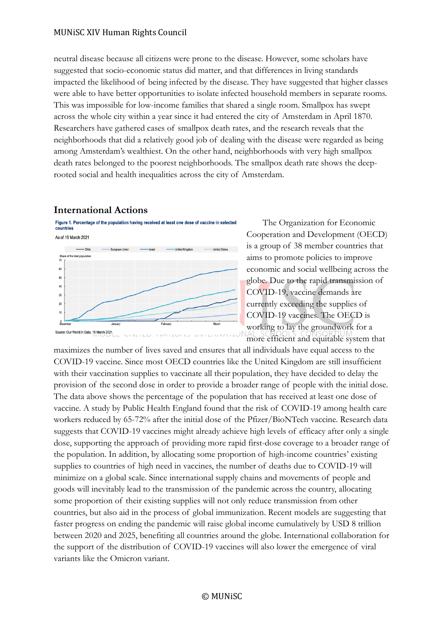neutral disease because all citizens were prone to the disease. However, some scholars have suggested that socio-economic status did matter, and that differences in living standards impacted the likelihood of being infected by the disease. They have suggested that higher classes were able to have better opportunities to isolate infected household members in separate rooms. This was impossible for low-income families that shared a single room. Smallpox has swept across the whole city within a year since it had entered the city of Amsterdam in April 1870. Researchers have gathered cases of smallpox death rates, and the research reveals that the neighborhoods that did a relatively good job of dealing with the disease were regarded as being among Amsterdam's wealthiest. On the other hand, neighborhoods with very high smallpox death rates belonged to the poorest neighborhoods. The smallpox death rate shows the deeprooted social and health inequalities across the city of Amsterdam.

#### **International Actions**



The Organization for Economic Cooperation and Development (OECD) is a group of 38 member countries that aims to promote policies to improve economic and social wellbeing across the globe. Due to the rapid transmission of COVID-19, vaccine demands are currently exceeding the supplies of COVID-19 vaccines. The OECD is working to lay the groundwork for a more efficient and equitable system that

maximizes the number of lives saved and ensures that all individuals have equal access to the COVID-19 vaccine. Since most OECD countries like the United Kingdom are still insufficient with their vaccination supplies to vaccinate all their population, they have decided to delay the provision of the second dose in order to provide a broader range of people with the initial dose. The data above shows the percentage of the population that has received at least one dose of vaccine. A study by Public Health England found that the risk of COVID-19 among health care workers reduced by 65-72% after the initial dose of the Pfizer/BioNTech vaccine. Research data suggests that COVID-19 vaccines might already achieve high levels of efficacy after only a single dose, supporting the approach of providing more rapid first-dose coverage to a broader range of the population. In addition, by allocating some proportion of high-income countries' existing supplies to countries of high need in vaccines, the number of deaths due to COVID-19 will minimize on a global scale. Since international supply chains and movements of people and goods will inevitably lead to the transmission of the pandemic across the country, allocating some proportion of their existing supplies will not only reduce transmission from other countries, but also aid in the process of global immunization. Recent models are suggesting that faster progress on ending the pandemic will raise global income cumulatively by USD 8 trillion between 2020 and 2025, benefiting all countries around the globe. International collaboration for the support of the distribution of COVID-19 vaccines will also lower the emergence of viral variants like the Omicron variant.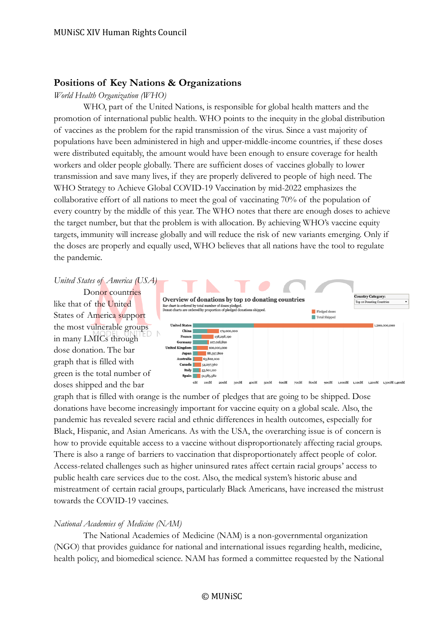#### **Positions of Key Nations & Organizations**

#### *World Health Organization (WHO)*

WHO, part of the United Nations, is responsible for global health matters and the promotion of international public health. WHO points to the inequity in the global distribution of vaccines as the problem for the rapid transmission of the virus. Since a vast majority of populations have been administered in high and upper-middle-income countries, if these doses were distributed equitably, the amount would have been enough to ensure coverage for health workers and older people globally. There are sufficient doses of vaccines globally to lower transmission and save many lives, if they are properly delivered to people of high need. The WHO Strategy to Achieve Global COVID-19 Vaccination by mid-2022 emphasizes the collaborative effort of all nations to meet the goal of vaccinating 70% of the population of every country by the middle of this year. The WHO notes that there are enough doses to achieve the target number, but that the problem is with allocation. By achieving WHO's vaccine equity targets, immunity will increase globally and will reduce the risk of new variants emerging. Only if the doses are properly and equally used, WHO believes that all nations have the tool to regulate the pandemic.

#### *United States of America (USA)*

Donor countries like that of the United States of America support the most vulnerable groups in many LMICs through dose donation. The bar graph that is filled with green is the total number of doses shipped and the bar



graph that is filled with orange is the number of pledges that are going to be shipped. Dose donations have become increasingly important for vaccine equity on a global scale. Also, the pandemic has revealed severe racial and ethnic differences in health outcomes, especially for Black, Hispanic, and Asian Americans. As with the USA, the overarching issue is of concern is how to provide equitable access to a vaccine without disproportionately affecting racial groups. There is also a range of barriers to vaccination that disproportionately affect people of color. Access-related challenges such as higher uninsured rates affect certain racial groups' access to public health care services due to the cost. Also, the medical system's historic abuse and mistreatment of certain racial groups, particularly Black Americans, have increased the mistrust towards the COVID-19 vaccines.

#### *National Academies of Medicine (NAM)*

The National Academies of Medicine (NAM) is a non-governmental organization (NGO) that provides guidance for national and international issues regarding health, medicine, health policy, and biomedical science. NAM has formed a committee requested by the National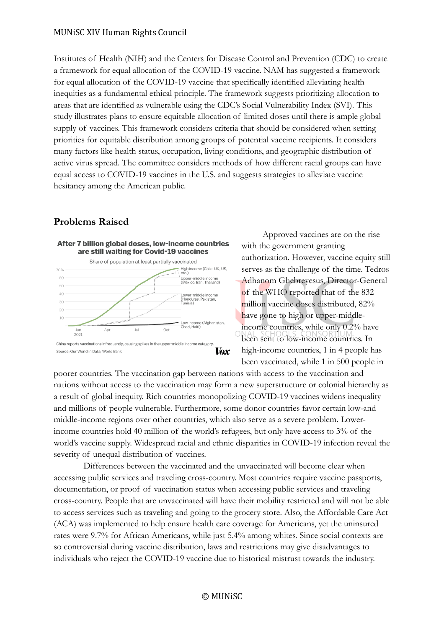Institutes of Health (NIH) and the Centers for Disease Control and Prevention (CDC) to create a framework for equal allocation of the COVID-19 vaccine. NAM has suggested a framework for equal allocation of the COVID-19 vaccine that specifically identified alleviating health inequities as a fundamental ethical principle. The framework suggests prioritizing allocation to areas that are identified as vulnerable using the CDC's Social Vulnerability Index (SVI). This study illustrates plans to ensure equitable allocation of limited doses until there is ample global supply of vaccines. This framework considers criteria that should be considered when setting priorities for equitable distribution among groups of potential vaccine recipients. It considers many factors like health status, occupation, living conditions, and geographic distribution of active virus spread. The committee considers methods of how different racial groups can have equal access to COVID-19 vaccines in the U.S. and suggests strategies to alleviate vaccine hesitancy among the American public.

# **Problems Raised**



Approved vaccines are on the rise with the government granting authorization. However, vaccine equity still serves as the challenge of the time. Tedros Adhanom Ghebreyesus, Director-General of the WHO reported that of the 832 million vaccine doses distributed, 82% have gone to high or upper-middleincome countries, while only 0.2% have been sent to low-income countries. In high-income countries, 1 in 4 people has been vaccinated, while 1 in 500 people in

poorer countries. The vaccination gap between nations with access to the vaccination and nations without access to the vaccination may form a new superstructure or colonial hierarchy as a result of global inequity. Rich countries monopolizing COVID-19 vaccines widens inequality and millions of people vulnerable. Furthermore, some donor countries favor certain low-and middle-income regions over other countries, which also serve as a severe problem. Lowerincome countries hold 40 million of the world's refugees, but only have access to 3% of the world's vaccine supply. Widespread racial and ethnic disparities in COVID-19 infection reveal the severity of unequal distribution of vaccines.

Differences between the vaccinated and the unvaccinated will become clear when accessing public services and traveling cross-country. Most countries require vaccine passports, documentation, or proof of vaccination status when accessing public services and traveling cross-country. People that are unvaccinated will have their mobility restricted and will not be able to access services such as traveling and going to the grocery store. Also, the Affordable Care Act (ACA) was implemented to help ensure health care coverage for Americans, yet the uninsured rates were 9.7% for African Americans, while just 5.4% among whites. Since social contexts are so controversial during vaccine distribution, laws and restrictions may give disadvantages to individuals who reject the COVID-19 vaccine due to historical mistrust towards the industry.

#### © MUNiSC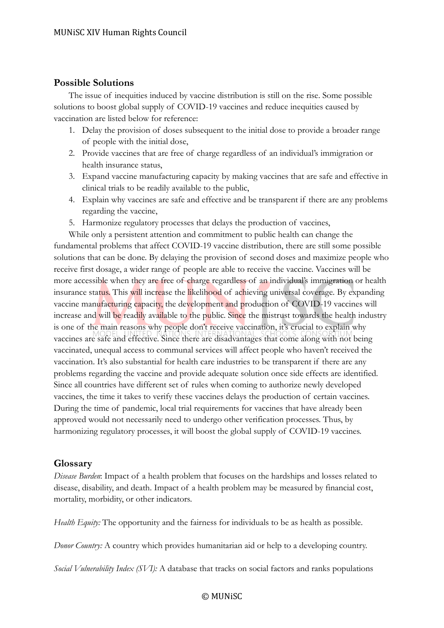### **Possible Solutions**

The issue of inequities induced by vaccine distribution is still on the rise. Some possible solutions to boost global supply of COVID-19 vaccines and reduce inequities caused by vaccination are listed below for reference:

- 1. Delay the provision of doses subsequent to the initial dose to provide a broader range of people with the initial dose,
- 2. Provide vaccines that are free of charge regardless of an individual's immigration or health insurance status,
- 3. Expand vaccine manufacturing capacity by making vaccines that are safe and effective in clinical trials to be readily available to the public,
- 4. Explain why vaccines are safe and effective and be transparent if there are any problems regarding the vaccine,
- 5. Harmonize regulatory processes that delays the production of vaccines,

While only a persistent attention and commitment to public health can change the fundamental problems that affect COVID-19 vaccine distribution, there are still some possible solutions that can be done. By delaying the provision of second doses and maximize people who receive first dosage, a wider range of people are able to receive the vaccine. Vaccines will be more accessible when they are free of charge regardless of an individual's immigration or health insurance status. This will increase the likelihood of achieving universal coverage. By expanding vaccine manufacturing capacity, the development and production of COVID-19 vaccines will increase and will be readily available to the public. Since the mistrust towards the health industry is one of the main reasons why people don't receive vaccination, it's crucial to explain why vaccines are safe and effective. Since there are disadvantages that come along with not being vaccinated, unequal access to communal services will affect people who haven't received the vaccination. It's also substantial for health care industries to be transparent if there are any problems regarding the vaccine and provide adequate solution once side effects are identified. Since all countries have different set of rules when coming to authorize newly developed vaccines, the time it takes to verify these vaccines delays the production of certain vaccines. During the time of pandemic, local trial requirements for vaccines that have already been approved would not necessarily need to undergo other verification processes. Thus, by harmonizing regulatory processes, it will boost the global supply of COVID-19 vaccines.

# **Glossary**

*Disease Burden*: Impact of a health problem that focuses on the hardships and losses related to disease, disability, and death. Impact of a health problem may be measured by financial cost, mortality, morbidity, or other indicators.

*Health Equity:* The opportunity and the fairness for individuals to be as health as possible.

*Donor Country:* A country which provides humanitarian aid or help to a developing country.

*Social Vulnerability Index (SVI):* A database that tracks on social factors and ranks populations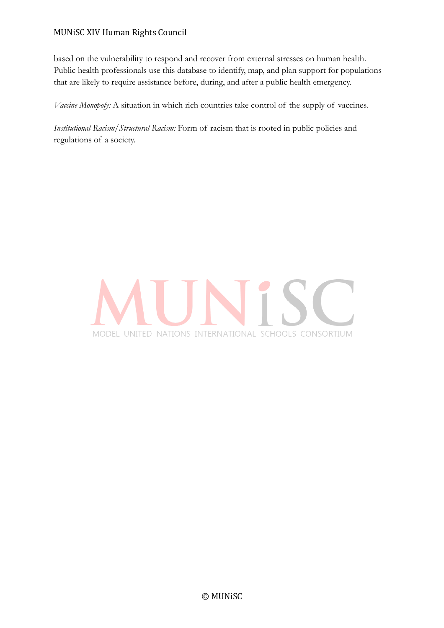based on the vulnerability to respond and recover from external stresses on human health. Public health professionals use this database to identify, map, and plan support for populations that are likely to require assistance before, during, and after a public health emergency.

*Vaccine Monopoly:* A situation in which rich countries take control of the supply of vaccines.

*Institutional Racism/Structural Racism:* Form of racism that is rooted in public policies and regulations of a society.

# MODEL UNITED NATIONS INTERNATIONAL SCHOOLS CONSORTIUM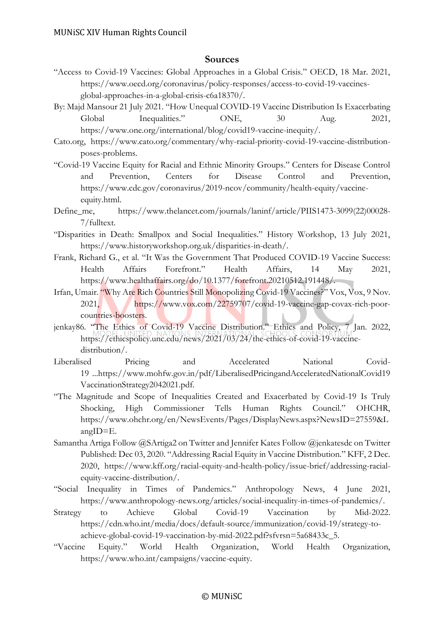#### **Sources**

- "Access to Covid-19 Vaccines: Global Approaches in a Global Crisis." OECD, 18 Mar. 2021, https://www.oecd.org/coronavirus/policy-responses/access-to-covid-19-vaccinesglobal-approaches-in-a-global-crisis-c6a18370/.
- By: Majd Mansour 21 July 2021. "How Unequal COVID-19 Vaccine Distribution Is Exacerbating Global Inequalities." ONE,  $30$  Aug.  $2021$ , https://www.one.org/international/blog/covid19-vaccine-inequity/.
- Cato.org, https://www.cato.org/commentary/why-racial-priority-covid-19-vaccine-distributionposes-problems.
- "Covid-19 Vaccine Equity for Racial and Ethnic Minority Groups." Centers for Disease Control and Prevention, Centers for Disease Control and Prevention, https://www.cdc.gov/coronavirus/2019-ncov/community/health-equity/vaccineequity.html.
- Define\_me, https://www.thelancet.com/journals/laninf/article/PIIS1473-3099(22)00028- 7/fulltext.
- "Disparities in Death: Smallpox and Social Inequalities." History Workshop, 13 July 2021, https://www.historyworkshop.org.uk/disparities-in-death/.
- Frank, Richard G., et al. "It Was the Government That Produced COVID-19 Vaccine Success: Health Affairs Forefront." Health Affairs, 14 May 2021, https://www.healthaffairs.org/do/10.1377/forefront.20210512.191448/.
- Irfan, Umair. "Why Are Rich Countries Still Monopolizing Covid-19 Vaccines?" Vox, Vox, 9 Nov. 2021, https://www.vox.com/22759707/covid-19-vaccine-gap-covax-rich-poorcountries-boosters.
- jenkay86. "The Ethics of Covid-19 Vaccine Distribution." Ethics and Policy, 7 Jan. 2022, https://ethicspolicy.unc.edu/news/2021/03/24/the-ethics-of-covid-19-vaccinedistribution/.
- Liberalised Pricing and Accelerated National Covid-19 ...https://www.mohfw.gov.in/pdf/LiberalisedPricingandAcceleratedNationalCovid19 VaccinationStrategy2042021.pdf.
- "The Magnitude and Scope of Inequalities Created and Exacerbated by Covid-19 Is Truly Shocking, High Commissioner Tells Human Rights Council." OHCHR, https://www.ohchr.org/en/NewsEvents/Pages/DisplayNews.aspx?NewsID=27559&L angID=E.
- Samantha Artiga Follow @SArtiga2 on Twitter and Jennifer Kates Follow @jenkatesdc on Twitter Published: Dec 03, 2020. "Addressing Racial Equity in Vaccine Distribution." KFF, 2 Dec. 2020, https://www.kff.org/racial-equity-and-health-policy/issue-brief/addressing-racialequity-vaccine-distribution/.
- "Social Inequality in Times of Pandemics." Anthropology News, 4 June 2021, https://www.anthropology-news.org/articles/social-inequality-in-times-of-pandemics/.
- Strategy to Achieve Global Covid-19 Vaccination by Mid-2022. https://cdn.who.int/media/docs/default-source/immunization/covid-19/strategy-toachieve-global-covid-19-vaccination-by-mid-2022.pdf?sfvrsn=5a68433c\_5.
- "Vaccine Equity." World Health Organization, World Health Organization, https://www.who.int/campaigns/vaccine-equity.